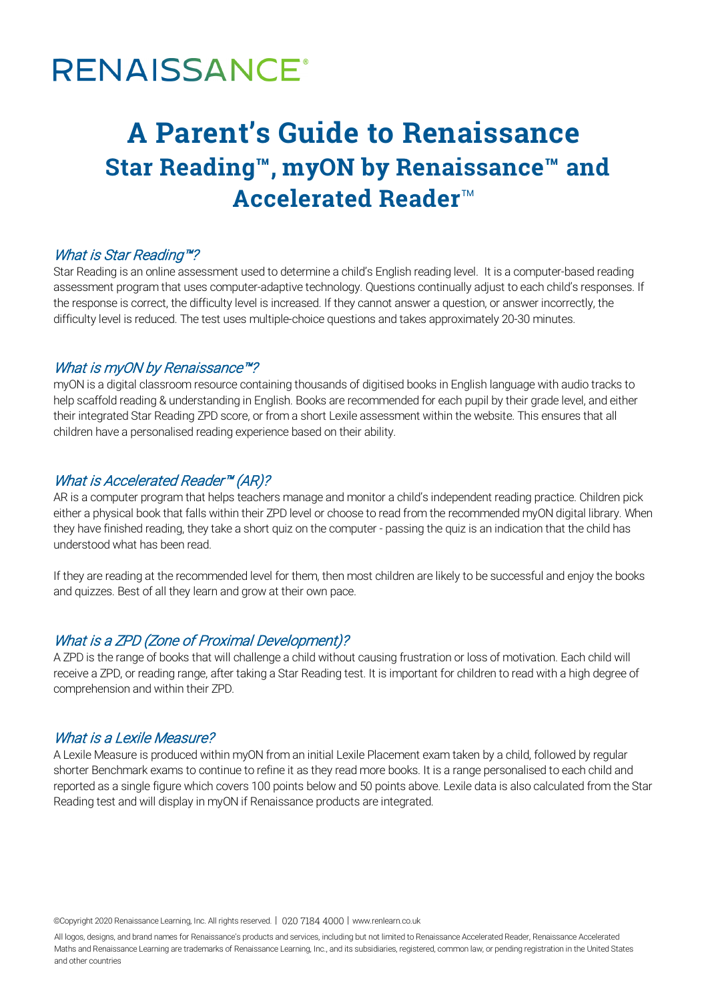# **RENAISSANCE®**

## **A Parent's Guide to Renaissance Star Reading™, myON by Renaissance™ and Accelerated Reader**™

#### What is Star Reading™?

Star Reading is an online assessment used to determine a child's English reading level. It is a computer-based reading assessment program that uses computer-adaptive technology. Questions continually adjust to each child's responses. If the response is correct, the difficulty level is increased. If they cannot answer a question, or answer incorrectly, the difficulty level is reduced. The test uses multiple-choice questions and takes approximately 20-30 minutes.

#### What is myON by Renaissance™?

myON is a digital classroom resource containing thousands of digitised books in English language with audio tracks to help scaffold reading & understanding in English. Books are recommended for each pupil by their grade level, and either their integrated Star Reading ZPD score, or from a short Lexile assessment within the website. This ensures that all children have a personalised reading experience based on their ability.

#### What is Accelerated Reader<sup>™</sup> (AR)?

AR is a computer program that helps teachers manage and monitor a child's independent reading practice. Children pick either a physical book that falls within their ZPD level or choose to read from the recommended myON digital library. When they have finished reading, they take a short quiz on the computer - passing the quiz is an indication that the child has understood what has been read.

If they are reading at the recommended level for them, then most children are likely to be successful and enjoy the books and quizzes. Best of all they learn and grow at their own pace.

#### What is a ZPD (Zone of Proximal Development)?

A ZPD is the range of books that will challenge a child without causing frustration or loss of motivation. Each child will receive a ZPD, or reading range, after taking a Star Reading test. It is important for children to read with a high degree of comprehension and within their ZPD.

#### What is a Lexile Measure?

A Lexile Measure is produced within myON from an initial Lexile Placement exam taken by a child, followed by regular shorter Benchmark exams to continue to refine it as they read more books. It is a range personalised to each child and reported as a single figure which covers 100 points below and 50 points above. Lexile data is also calculated from the Star Reading test and will display in myON if Renaissance products are integrated.

©Copyright 2020 Renaissance Learning, Inc. All rights reserved. | 020 7184 4000 | www.renlearn.co.uk

All logos, designs, and brand names for Renaissance's products and services, including but not limited to Renaissance Accelerated Reader, Renaissance Accelerated Maths and Renaissance Learning are trademarks of Renaissance Learning, Inc., and its subsidiaries, registered, common law, or pending registration in the United States and other countries